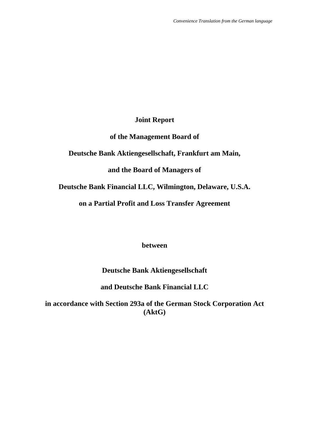# **Joint Report**

# **of the Management Board of**

# **Deutsche Bank Aktiengesellschaft, Frankfurt am Main,**

# **and the Board of Managers of**

## **Deutsche Bank Financial LLC, Wilmington, Delaware, U.S.A.**

# **on a Partial Profit and Loss Transfer Agreement**

## **between**

# **Deutsche Bank Aktiengesellschaft**

## **and Deutsche Bank Financial LLC**

**in accordance with Section 293a of the German Stock Corporation Act (AktG)**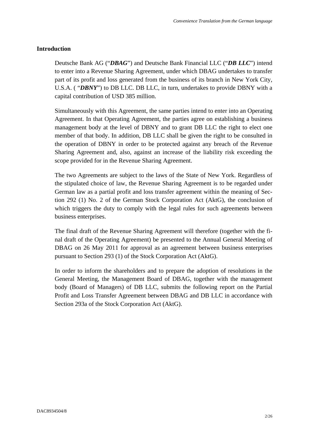## **Introduction**

Deutsche Bank AG ("*DBAG*") and Deutsche Bank Financial LLC ("*DB LLC*") intend to enter into a Revenue Sharing Agreement, under which DBAG undertakes to transfer part of its profit and loss generated from the business of its branch in New York City, U.S.A. ( "*DBNY*") to DB LLC. DB LLC, in turn, undertakes to provide DBNY with a capital contribution of USD 385 million.

Simultaneously with this Agreement, the same parties intend to enter into an Operating Agreement. In that Operating Agreement, the parties agree on establishing a business management body at the level of DBNY and to grant DB LLC the right to elect one member of that body. In addition, DB LLC shall be given the right to be consulted in the operation of DBNY in order to be protected against any breach of the Revenue Sharing Agreement and, also, against an increase of the liability risk exceeding the scope provided for in the Revenue Sharing Agreement.

The two Agreements are subject to the laws of the State of New York. Regardless of the stipulated choice of law, the Revenue Sharing Agreement is to be regarded under German law as a partial profit and loss transfer agreement within the meaning of Section 292 (1) No. 2 of the German Stock Corporation Act (AktG), the conclusion of which triggers the duty to comply with the legal rules for such agreements between business enterprises.

The final draft of the Revenue Sharing Agreement will therefore (together with the final draft of the Operating Agreement) be presented to the Annual General Meeting of DBAG on 26 May 2011 for approval as an agreement between business enterprises pursuant to Section 293 (1) of the Stock Corporation Act (AktG).

In order to inform the shareholders and to prepare the adoption of resolutions in the General Meeting, the Management Board of DBAG, together with the management body (Board of Managers) of DB LLC, submits the following report on the Partial Profit and Loss Transfer Agreement between DBAG and DB LLC in accordance with Section 293a of the Stock Corporation Act (AktG).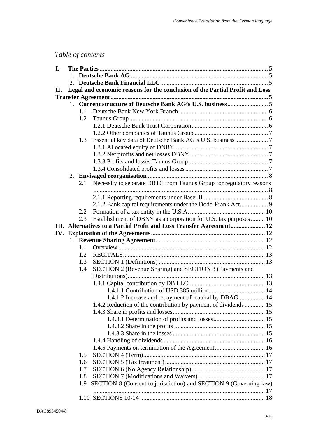# *Table of contents*

| I. |              |         |                                                                              |  |  |  |  |  |
|----|--------------|---------|------------------------------------------------------------------------------|--|--|--|--|--|
|    | $\mathbf{1}$ |         |                                                                              |  |  |  |  |  |
|    |              |         |                                                                              |  |  |  |  |  |
| П. |              |         | Legal and economic reasons for the conclusion of the Partial Profit and Loss |  |  |  |  |  |
|    |              |         |                                                                              |  |  |  |  |  |
|    |              |         |                                                                              |  |  |  |  |  |
|    |              | $1.1 -$ |                                                                              |  |  |  |  |  |
|    |              | 1.2     |                                                                              |  |  |  |  |  |
|    |              |         |                                                                              |  |  |  |  |  |
|    |              |         |                                                                              |  |  |  |  |  |
|    |              | 1.3     |                                                                              |  |  |  |  |  |
|    |              |         |                                                                              |  |  |  |  |  |
|    |              |         |                                                                              |  |  |  |  |  |
|    |              |         |                                                                              |  |  |  |  |  |
|    |              |         |                                                                              |  |  |  |  |  |
|    |              |         |                                                                              |  |  |  |  |  |
|    |              | 2.1     | Necessity to separate DBTC from Taunus Group for regulatory reasons          |  |  |  |  |  |
|    |              |         |                                                                              |  |  |  |  |  |
|    |              |         | 2.1.2 Bank capital requirements under the Dodd-Frank Act 9                   |  |  |  |  |  |
|    |              | 2.2     |                                                                              |  |  |  |  |  |
|    |              | 2.3     | Establishment of DBNY as a corporation for U.S. tax purposes  10             |  |  |  |  |  |
|    |              |         | III. Alternatives to a Partial Profit and Loss Transfer Agreement 12         |  |  |  |  |  |
|    |              |         |                                                                              |  |  |  |  |  |
|    |              |         |                                                                              |  |  |  |  |  |
|    |              | 1.1     |                                                                              |  |  |  |  |  |
|    |              | 1.2     |                                                                              |  |  |  |  |  |
|    |              | 1.3     |                                                                              |  |  |  |  |  |
|    |              | 1.4     | SECTION 2 (Revenue Sharing) and SECTION 3 (Payments and                      |  |  |  |  |  |
|    |              |         |                                                                              |  |  |  |  |  |
|    |              |         |                                                                              |  |  |  |  |  |
|    |              |         | 1.4.1.2 Increase and repayment of capital by DBAG 14                         |  |  |  |  |  |
|    |              |         |                                                                              |  |  |  |  |  |
|    |              |         | 1.4.2 Reduction of the contribution by payment of dividends 15               |  |  |  |  |  |
|    |              |         |                                                                              |  |  |  |  |  |
|    |              |         |                                                                              |  |  |  |  |  |
|    |              |         |                                                                              |  |  |  |  |  |
|    |              |         |                                                                              |  |  |  |  |  |
|    |              |         |                                                                              |  |  |  |  |  |
|    |              | 1.5     |                                                                              |  |  |  |  |  |
|    |              | 1.6     |                                                                              |  |  |  |  |  |
|    |              | 1.7     |                                                                              |  |  |  |  |  |
|    |              | 1.8     |                                                                              |  |  |  |  |  |
|    |              | 1.9     | SECTION 8 (Consent to jurisdiction) and SECTION 9 (Governing law)            |  |  |  |  |  |
|    |              |         |                                                                              |  |  |  |  |  |
|    |              |         |                                                                              |  |  |  |  |  |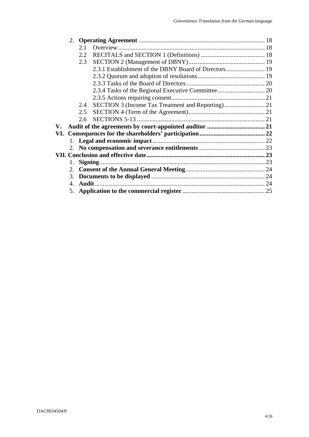|    |    | 2.1 |  |  |  |  |  |  |  |
|----|----|-----|--|--|--|--|--|--|--|
|    |    | 2.2 |  |  |  |  |  |  |  |
|    |    | 2.3 |  |  |  |  |  |  |  |
|    |    |     |  |  |  |  |  |  |  |
|    |    |     |  |  |  |  |  |  |  |
|    |    |     |  |  |  |  |  |  |  |
|    |    |     |  |  |  |  |  |  |  |
|    |    |     |  |  |  |  |  |  |  |
|    |    | 2.4 |  |  |  |  |  |  |  |
|    |    | 2.5 |  |  |  |  |  |  |  |
|    |    | 2.6 |  |  |  |  |  |  |  |
| V. |    |     |  |  |  |  |  |  |  |
|    |    |     |  |  |  |  |  |  |  |
|    |    |     |  |  |  |  |  |  |  |
|    |    |     |  |  |  |  |  |  |  |
|    |    |     |  |  |  |  |  |  |  |
|    | 1. |     |  |  |  |  |  |  |  |
|    |    |     |  |  |  |  |  |  |  |
|    |    |     |  |  |  |  |  |  |  |
|    |    |     |  |  |  |  |  |  |  |
|    |    |     |  |  |  |  |  |  |  |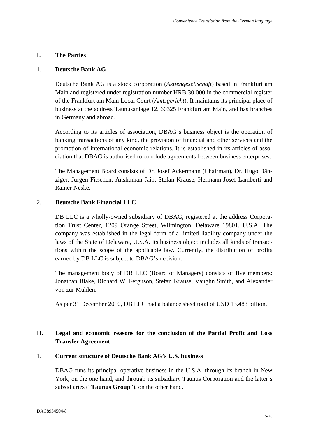## **I. The Parties**

#### 1. **Deutsche Bank AG**

Deutsche Bank AG is a stock corporation (*Aktiengesellschaft*) based in Frankfurt am Main and registered under registration number HRB 30 000 in the commercial register of the Frankfurt am Main Local Court (*Amtsgericht*). It maintains its principal place of business at the address Taunusanlage 12, 60325 Frankfurt am Main, and has branches in Germany and abroad.

According to its articles of association, DBAG's business object is the operation of banking transactions of any kind, the provision of financial and other services and the promotion of international economic relations. It is established in its articles of association that DBAG is authorised to conclude agreements between business enterprises.

The Management Board consists of Dr. Josef Ackermann (Chairman), Dr. Hugo Bänziger, Jürgen Fitschen, Anshuman Jain, Stefan Krause, Hermann-Josef Lamberti and Rainer Neske.

## 2. **Deutsche Bank Financial LLC**

DB LLC is a wholly-owned subsidiary of DBAG, registered at the address Corporation Trust Center, 1209 Orange Street, Wilmington, Delaware 19801, U.S.A. The company was established in the legal form of a limited liability company under the laws of the State of Delaware, U.S.A. Its business object includes all kinds of transactions within the scope of the applicable law. Currently, the distribution of profits earned by DB LLC is subject to DBAG's decision.

The management body of DB LLC (Board of Managers) consists of five members: Jonathan Blake, Richard W. Ferguson, Stefan Krause, Vaughn Smith, and Alexander von zur Mühlen.

As per 31 December 2010, DB LLC had a balance sheet total of USD 13.483 billion.

## **II. Legal and economic reasons for the conclusion of the Partial Profit and Loss Transfer Agreement**

#### 1. **Current structure of Deutsche Bank AG's U.S. business**

DBAG runs its principal operative business in the U.S.A. through its branch in New York, on the one hand, and through its subsidiary Taunus Corporation and the latter's subsidiaries ("**Taunus Group**"), on the other hand.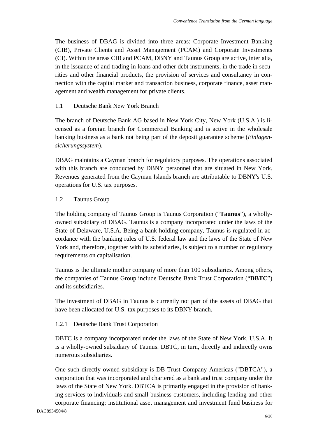The business of DBAG is divided into three areas: Corporate Investment Banking (CIB), Private Clients and Asset Management (PCAM) and Corporate Investments (CI). Within the areas CIB and PCAM, DBNY and Taunus Group are active, inter alia, in the issuance of and trading in loans and other debt instruments, in the trade in securities and other financial products, the provision of services and consultancy in connection with the capital market and transaction business, corporate finance, asset management and wealth management for private clients.

## 1.1 Deutsche Bank New York Branch

The branch of Deutsche Bank AG based in New York City, New York (U.S.A.) is licensed as a foreign branch for Commercial Banking and is active in the wholesale banking business as a bank not being part of the deposit guarantee scheme (*Einlagensicherungssystem*).

DBAG maintains a Cayman branch for regulatory purposes. The operations associated with this branch are conducted by DBNY personnel that are situated in New York. Revenues generated from the Cayman Islands branch are attributable to DBNY's U.S. operations for U.S. tax purposes.

## 1.2 Taunus Group

The holding company of Taunus Group is Taunus Corporation ("**Taunus**"), a whollyowned subsidiary of DBAG. Taunus is a company incorporated under the laws of the State of Delaware, U.S.A. Being a bank holding company, Taunus is regulated in accordance with the banking rules of U.S. federal law and the laws of the State of New York and, therefore, together with its subsidiaries, is subject to a number of regulatory requirements on capitalisation.

Taunus is the ultimate mother company of more than 100 subsidiaries. Among others, the companies of Taunus Group include Deutsche Bank Trust Corporation ("**DBTC**") and its subsidiaries.

The investment of DBAG in Taunus is currently not part of the assets of DBAG that have been allocated for U.S.-tax purposes to its DBNY branch.

#### 1.2.1 Deutsche Bank Trust Corporation

DBTC is a company incorporated under the laws of the State of New York, U.S.A. It is a wholly-owned subsidiary of Taunus. DBTC, in turn, directly and indirectly owns numerous subsidiaries.

One such directly owned subsidiary is DB Trust Company Americas ("DBTCA"), a corporation that was incorporated and chartered as a bank and trust company under the laws of the State of New York. DBTCA is primarily engaged in the provision of banking services to individuals and small business customers, including lending and other corporate financing; institutional asset management and investment fund business for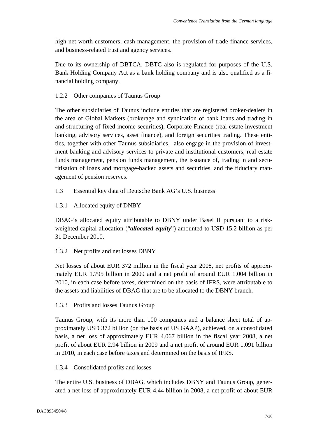high net-worth customers; cash management, the provision of trade finance services, and business-related trust and agency services.

Due to its ownership of DBTCA, DBTC also is regulated for purposes of the U.S. Bank Holding Company Act as a bank holding company and is also qualified as a financial holding company.

## 1.2.2 Other companies of Taunus Group

The other subsidiaries of Taunus include entities that are registered broker-dealers in the area of Global Markets (brokerage and syndication of bank loans and trading in and structuring of fixed income securities), Corporate Finance (real estate investment banking, advisory services, asset finance), and foreign securities trading. These entities, together with other Taunus subsidiaries, also engage in the provision of investment banking and advisory services to private and institutional customers, real estate funds management, pension funds management, the issuance of, trading in and securitisation of loans and mortgage-backed assets and securities, and the fiduciary management of pension reserves.

1.3 Essential key data of Deutsche Bank AG's U.S. business

1.3.1 Allocated equity of DNBY

DBAG's allocated equity attributable to DBNY under Basel II pursuant to a riskweighted capital allocation ("*allocated equity*") amounted to USD 15.2 billion as per 31 December 2010.

1.3.2 Net profits and net losses DBNY

Net losses of about EUR 372 million in the fiscal year 2008, net profits of approximately EUR 1.795 billion in 2009 and a net profit of around EUR 1.004 billion in 2010, in each case before taxes, determined on the basis of IFRS, were attributable to the assets and liabilities of DBAG that are to be allocated to the DBNY branch.

## 1.3.3 Profits and losses Taunus Group

Taunus Group, with its more than 100 companies and a balance sheet total of approximately USD 372 billion (on the basis of US GAAP), achieved, on a consolidated basis, a net loss of approximately EUR 4.067 billion in the fiscal year 2008, a net profit of about EUR 2.94 billion in 2009 and a net profit of around EUR 1.091 billion in 2010, in each case before taxes and determined on the basis of IFRS.

## 1.3.4 Consolidated profits and losses

The entire U.S. business of DBAG, which includes DBNY and Taunus Group, generated a net loss of approximately EUR 4.44 billion in 2008, a net profit of about EUR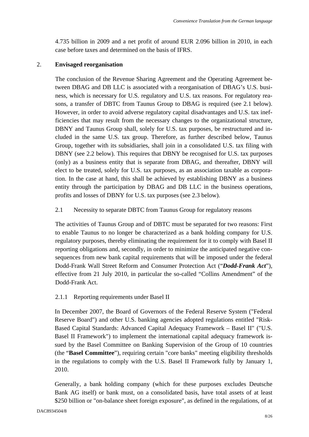4.735 billion in 2009 and a net profit of around EUR 2.096 billion in 2010, in each case before taxes and determined on the basis of IFRS.

#### 2. **Envisaged reorganisation**

The conclusion of the Revenue Sharing Agreement and the Operating Agreement between DBAG and DB LLC is associated with a reorganisation of DBAG's U.S. business, which is necessary for U.S. regulatory and U.S. tax reasons. For regulatory reasons, a transfer of DBTC from Taunus Group to DBAG is required (see 2.1 below). However, in order to avoid adverse regulatory capital disadvantages and U.S. tax inefficiencies that may result from the necessary changes to the organizational structure, DBNY and Taunus Group shall, solely for U.S. tax purposes, be restructured and included in the same U.S. tax group. Therefore, as further described below, Taunus Group, together with its subsidiaries, shall join in a consolidated U.S. tax filing with DBNY (see 2.2 below). This requires that DBNY be recognised for U.S. tax purposes (only) as a business entity that is separate from DBAG, and thereafter, DBNY will elect to be treated, solely for U.S. tax purposes, as an association taxable as corporation. In the case at hand, this shall be achieved by establishing DBNY as a business entity through the participation by DBAG and DB LLC in the business operations, profits and losses of DBNY for U.S. tax purposes (see 2.3 below).

2.1 Necessity to separate DBTC from Taunus Group for regulatory reasons

The activities of Taunus Group and of DBTC must be separated for two reasons: First to enable Taunus to no longer be characterized as a bank holding company for U.S. regulatory purposes, thereby eliminating the requirement for it to comply with Basel II reporting obligations and, secondly, in order to minimize the anticipated negative consequences from new bank capital requirements that will be imposed under the federal Dodd-Frank Wall Street Reform and Consumer Protection Act ("*Dodd-Frank Act*"), effective from 21 July 2010, in particular the so-called "Collins Amendment" of the Dodd-Frank Act.

#### 2.1.1 Reporting requirements under Basel II

In December 2007, the Board of Governors of the Federal Reserve System ("Federal Reserve Board") and other U.S. banking agencies adopted regulations entitled "Risk-Based Capital Standards: Advanced Capital Adequacy Framework – Basel II" ("U.S. Basel II Framework") to implement the international capital adequacy framework issued by the Basel Committee on Banking Supervision of the Group of 10 countries (the "**Basel Committee**"), requiring certain "core banks" meeting eligibility thresholds in the regulations to comply with the U.S. Basel II Framework fully by January 1, 2010.

Generally, a bank holding company (which for these purposes excludes Deutsche Bank AG itself) or bank must, on a consolidated basis, have total assets of at least \$250 billion or "on-balance sheet foreign exposure", as defined in the regulations, of at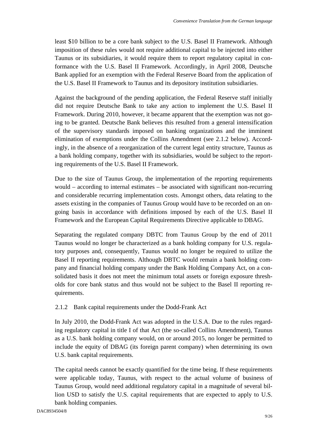least \$10 billion to be a core bank subject to the U.S. Basel II Framework. Although imposition of these rules would not require additional capital to be injected into either Taunus or its subsidiaries, it would require them to report regulatory capital in conformance with the U.S. Basel II Framework. Accordingly, in April 2008, Deutsche Bank applied for an exemption with the Federal Reserve Board from the application of the U.S. Basel II Framework to Taunus and its depository institution subsidiaries.

Against the background of the pending application, the Federal Reserve staff initially did not require Deutsche Bank to take any action to implement the U.S. Basel II Framework. During 2010, however, it became apparent that the exemption was not going to be granted. Deutsche Bank believes this resulted from a general intensification of the supervisory standards imposed on banking organizations and the imminent elimination of exemptions under the Collins Amendment (see 2.1.2 below). Accordingly, in the absence of a reorganization of the current legal entity structure, Taunus as a bank holding company, together with its subsidiaries, would be subject to the reporting requirements of the U.S. Basel II Framework.

Due to the size of Taunus Group, the implementation of the reporting requirements would – according to internal estimates – be associated with significant non-recurring and considerable recurring implementation costs. Amongst others, data relating to the assets existing in the companies of Taunus Group would have to be recorded on an ongoing basis in accordance with definitions imposed by each of the U.S. Basel II Framework and the European Capital Requirements Directive applicable to DBAG.

Separating the regulated company DBTC from Taunus Group by the end of 2011 Taunus would no longer be characterized as a bank holding company for U.S. regulatory purposes and, consequently, Taunus would no longer be required to utilize the Basel II reporting requirements. Although DBTC would remain a bank holding company and financial holding company under the Bank Holding Company Act, on a consolidated basis it does not meet the minimum total assets or foreign exposure thresholds for core bank status and thus would not be subject to the Basel II reporting requirements.

## 2.1.2 Bank capital requirements under the Dodd-Frank Act

In July 2010, the Dodd-Frank Act was adopted in the U.S.A. Due to the rules regarding regulatory capital in title I of that Act (the so-called Collins Amendment), Taunus as a U.S. bank holding company would, on or around 2015, no longer be permitted to include the equity of DBAG (its foreign parent company) when determining its own U.S. bank capital requirements.

The capital needs cannot be exactly quantified for the time being. If these requirements were applicable today, Taunus, with respect to the actual volume of business of Taunus Group, would need additional regulatory capital in a magnitude of several billion USD to satisfy the U.S. capital requirements that are expected to apply to U.S. bank holding companies.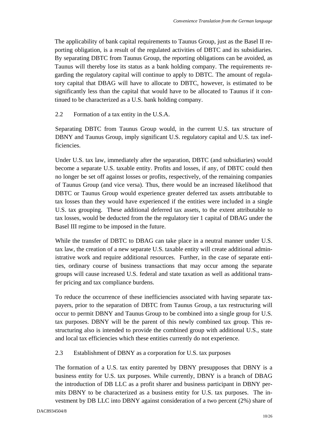The applicability of bank capital requirements to Taunus Group, just as the Basel II reporting obligation, is a result of the regulated activities of DBTC and its subsidiaries. By separating DBTC from Taunus Group, the reporting obligations can be avoided, as Taunus will thereby lose its status as a bank holding company. The requirements regarding the regulatory capital will continue to apply to DBTC. The amount of regulatory capital that DBAG will have to allocate to DBTC, however, is estimated to be significantly less than the capital that would have to be allocated to Taunus if it continued to be characterized as a U.S. bank holding company.

2.2 Formation of a tax entity in the U.S.A.

Separating DBTC from Taunus Group would, in the current U.S. tax structure of DBNY and Taunus Group, imply significant U.S. regulatory capital and U.S. tax inefficiencies.

Under U.S. tax law, immediately after the separation, DBTC (and subsidiaries) would become a separate U.S. taxable entity. Profits and losses, if any, of DBTC could then no longer be set off against losses or profits, respectively, of the remaining companies of Taunus Group (and vice versa). Thus, there would be an increased likelihood that DBTC or Taunus Group would experience greater deferred tax assets attributable to tax losses than they would have experienced if the entities were included in a single U.S. tax grouping. These additional deferred tax assets, to the extent attributable to tax losses, would be deducted from the the regulatory tier 1 capital of DBAG under the Basel III regime to be imposed in the future.

While the transfer of DBTC to DBAG can take place in a neutral manner under U.S. tax law, the creation of a new separate U.S. taxable entity will create additional administrative work and require additional resources. Further, in the case of separate entities, ordinary course of business transactions that may occur among the separate groups will cause increased U.S. federal and state taxation as well as additional transfer pricing and tax compliance burdens.

To reduce the occurrence of these inefficiencies associated with having separate taxpayers, prior to the separation of DBTC from Taunus Group, a tax restructuring will occur to permit DBNY and Taunus Group to be combined into a single group for U.S. tax purposes. DBNY will be the parent of this newly combined tax group. This restructuring also is intended to provide the combined group with additional U.S., state and local tax efficiencies which these entities currently do not experience.

## 2.3 Establishment of DBNY as a corporation for U.S. tax purposes

The formation of a U.S. tax entity parented by DBNY presupposes that DBNY is a business entity for U.S. tax purposes. While currently, DBNY is a branch of DBAG the introduction of DB LLC as a profit sharer and business participant in DBNY permits DBNY to be characterized as a business entity for U.S. tax purposes. The investment by DB LLC into DBNY against consideration of a two percent (2%) share of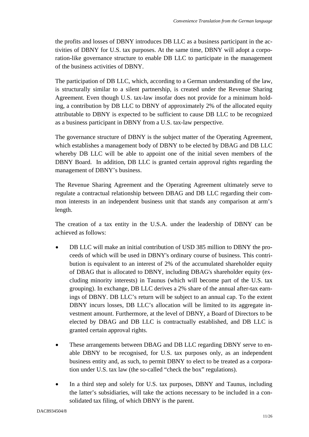the profits and losses of DBNY introduces DB LLC as a business participant in the activities of DBNY for U.S. tax purposes. At the same time, DBNY will adopt a corporation-like governance structure to enable DB LLC to participate in the management of the business activities of DBNY.

The participation of DB LLC, which, according to a German understanding of the law, is structurally similar to a silent partnership, is created under the Revenue Sharing Agreement. Even though U.S. tax-law insofar does not provide for a minimum holding, a contribution by DB LLC to DBNY of approximately 2% of the allocated equity attributable to DBNY is expected to be sufficient to cause DB LLC to be recognized as a business participant in DBNY from a U.S. tax-law perspective.

The governance structure of DBNY is the subject matter of the Operating Agreement, which establishes a management body of DBNY to be elected by DBAG and DB LLC whereby DB LLC will be able to appoint one of the initial seven members of the DBNY Board. In addition, DB LLC is granted certain approval rights regarding the management of DBNY's business.

The Revenue Sharing Agreement and the Operating Agreement ultimately serve to regulate a contractual relationship between DBAG and DB LLC regarding their common interests in an independent business unit that stands any comparison at arm's length.

The creation of a tax entity in the U.S.A. under the leadership of DBNY can be achieved as follows:

- DB LLC will make an initial contribution of USD 385 million to DBNY the proceeds of which will be used in DBNY's ordinary course of business. This contribution is equivalent to an interest of 2% of the accumulated shareholder equity of DBAG that is allocated to DBNY, including DBAG's shareholder equity (excluding minority interests) in Taunus (which will become part of the U.S. tax grouping). In exchange, DB LLC derives a 2% share of the annual after-tax earnings of DBNY. DB LLC's return will be subject to an annual cap. To the extent DBNY incurs losses, DB LLC's allocation will be limited to its aggregate investment amount. Furthermore, at the level of DBNY, a Board of Directors to be elected by DBAG and DB LLC is contractually established, and DB LLC is granted certain approval rights.
- These arrangements between DBAG and DB LLC regarding DBNY serve to enable DBNY to be recognised, for U.S. tax purposes only, as an independent business entity and, as such, to permit DBNY to elect to be treated as a corporation under U.S. tax law (the so-called "check the box" regulations).
- In a third step and solely for U.S. tax purposes, DBNY and Taunus, including the latter's subsidiaries, will take the actions necessary to be included in a consolidated tax filing, of which DBNY is the parent.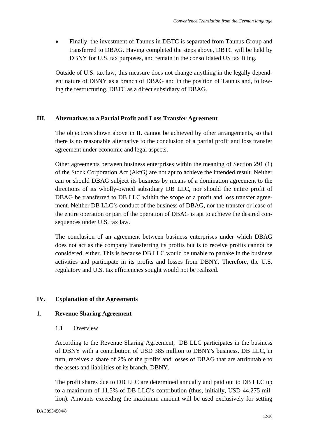• Finally, the investment of Taunus in DBTC is separated from Taunus Group and transferred to DBAG. Having completed the steps above, DBTC will be held by DBNY for U.S. tax purposes, and remain in the consolidated US tax filing.

Outside of U.S. tax law, this measure does not change anything in the legally dependent nature of DBNY as a branch of DBAG and in the position of Taunus and, following the restructuring, DBTC as a direct subsidiary of DBAG.

## **III. Alternatives to a Partial Profit and Loss Transfer Agreement**

The objectives shown above in II. cannot be achieved by other arrangements, so that there is no reasonable alternative to the conclusion of a partial profit and loss transfer agreement under economic and legal aspects.

Other agreements between business enterprises within the meaning of Section 291 (1) of the Stock Corporation Act (AktG) are not apt to achieve the intended result. Neither can or should DBAG subject its business by means of a domination agreement to the directions of its wholly-owned subsidiary DB LLC, nor should the entire profit of DBAG be transferred to DB LLC within the scope of a profit and loss transfer agreement. Neither DB LLC's conduct of the business of DBAG, nor the transfer or lease of the entire operation or part of the operation of DBAG is apt to achieve the desired consequences under U.S. tax law.

The conclusion of an agreement between business enterprises under which DBAG does not act as the company transferring its profits but is to receive profits cannot be considered, either. This is because DB LLC would be unable to partake in the business activities and participate in its profits and losses from DBNY. Therefore, the U.S. regulatory and U.S. tax efficiencies sought would not be realized.

## **IV. Explanation of the Agreements**

#### 1. **Revenue Sharing Agreement**

1.1 Overview

According to the Revenue Sharing Agreement, DB LLC participates in the business of DBNY with a contribution of USD 385 million to DBNY's business. DB LLC, in turn, receives a share of 2% of the profits and losses of DBAG that are attributable to the assets and liabilities of its branch, DBNY.

The profit shares due to DB LLC are determined annually and paid out to DB LLC up to a maximum of 11.5% of DB LLC's contribution (thus, initially, USD 44.275 million). Amounts exceeding the maximum amount will be used exclusively for setting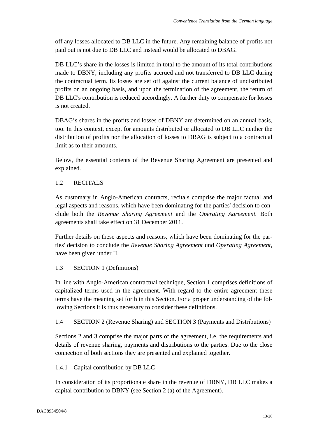off any losses allocated to DB LLC in the future. Any remaining balance of profits not paid out is not due to DB LLC and instead would be allocated to DBAG.

DB LLC's share in the losses is limited in total to the amount of its total contributions made to DBNY, including any profits accrued and not transferred to DB LLC during the contractual term. Its losses are set off against the current balance of undistributed profits on an ongoing basis, and upon the termination of the agreement, the return of DB LLC's contribution is reduced accordingly. A further duty to compensate for losses is not created.

DBAG's shares in the profits and losses of DBNY are determined on an annual basis, too. In this context, except for amounts distributed or allocated to DB LLC neither the distribution of profits nor the allocation of losses to DBAG is subject to a contractual limit as to their amounts.

Below, the essential contents of the Revenue Sharing Agreement are presented and explained.

## 1.2 RECITALS

As customary in Anglo-American contracts, recitals comprise the major factual and legal aspects and reasons, which have been dominating for the parties' decision to conclude both the *Revenue Sharing Agreement* and the *Operating Agreement.* Both agreements shall take effect on 31 December 2011.

Further details on these aspects and reasons, which have been dominating for the parties' decision to conclude the *Revenue Sharing Agreement* und *Operating Agreement*, have been given under II.

## 1.3 SECTION 1 (Definitions)

In line with Anglo-American contractual technique, Section 1 comprises definitions of capitalized terms used in the agreement. With regard to the entire agreement these terms have the meaning set forth in this Section. For a proper understanding of the following Sections it is thus necessary to consider these definitions.

1.4 SECTION 2 (Revenue Sharing) and SECTION 3 (Payments and Distributions)

Sections 2 and 3 comprise the major parts of the agreement, i.e. the requirements and details of revenue sharing, payments and distributions to the parties. Due to the close connection of both sections they are presented and explained together.

## 1.4.1 Capital contribution by DB LLC

In consideration of its proportionate share in the revenue of DBNY, DB LLC makes a capital contribution to DBNY (see Section 2 (a) of the Agreement).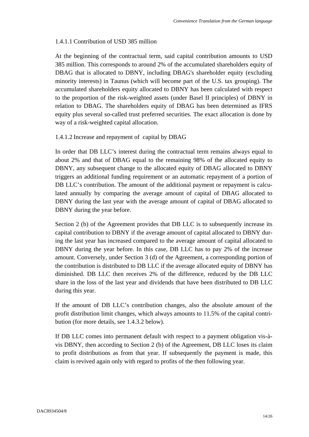## 1.4.1.1 Contribution of USD 385 million

At the beginning of the contractual term, said capital contribution amounts to USD 385 million. This corresponds to around 2% of the accumulated shareholders equity of DBAG that is allocated to DBNY, including DBAG's shareholder equity (excluding minority interests) in Taunus (which will become part of the U.S. tax grouping). The accumulated shareholders equity allocated to DBNY has been calculated with respect to the proportion of the risk-weighted assets (under Basel II principles) of DBNY in relation to DBAG. The shareholders equity of DBAG has been determined as IFRS equity plus several so-called trust preferred securities. The exact allocation is done by way of a risk-weighted capital allocation.

## 1.4.1.2 Increase and repayment of capital by DBAG

In order that DB LLC's interest during the contractual term remains always equal to about 2% and that of DBAG equal to the remaining 98% of the allocated equity to DBNY, any subsequent change to the allocated equity of DBAG allocated to DBNY triggers an additional funding requirement or an automatic repayment of a portion of DB LLC's contribution. The amount of the additional payment or repayment is calculated annually by comparing the average amount of capital of DBAG allocated to DBNY during the last year with the average amount of capital of DBAG allocated to DBNY during the year before.

Section 2 (b) of the Agreement provides that DB LLC is to subsequently increase its capital contribution to DBNY if the average amount of capital allocated to DBNY during the last year has increased compared to the average amount of capital allocated to DBNY during the year before. In this case, DB LLC has to pay 2% of the increase amount. Conversely, under Section 3 (d) of the Agreement, a corresponding portion of the contribution is distributed to DB LLC if the average allocated equity of DBNY has diminished. DB LLC then receives 2% of the difference, reduced by the DB LLC share in the loss of the last year and dividends that have been distributed to DB LLC during this year.

If the amount of DB LLC's contribution changes, also the absolute amount of the profit distribution limit changes, which always amounts to 11.5% of the capital contribution (for more details, see 1.4.3.2 below).

If DB LLC comes into permanent default with respect to a payment obligation vis-àvis DBNY, then according to Section 2 (b) of the Agreement, DB LLC loses its claim to profit distributions as from that year. If subsequently the payment is made, this claim is revived again only with regard to profits of the then following year.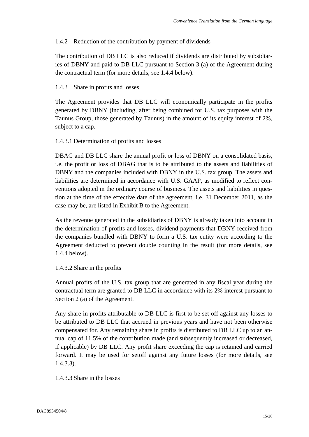## 1.4.2 Reduction of the contribution by payment of dividends

The contribution of DB LLC is also reduced if dividends are distributed by subsidiaries of DBNY and paid to DB LLC pursuant to Section 3 (a) of the Agreement during the contractual term (for more details, see 1.4.4 below).

## 1.4.3 Share in profits and losses

The Agreement provides that DB LLC will economically participate in the profits generated by DBNY (including, after being combined for U.S. tax purposes with the Taunus Group, those generated by Taunus) in the amount of its equity interest of 2%, subject to a cap.

## 1.4.3.1 Determination of profits and losses

DBAG and DB LLC share the annual profit or loss of DBNY on a consolidated basis, i.e. the profit or loss of DBAG that is to be attributed to the assets and liabilities of DBNY and the companies included with DBNY in the U.S. tax group. The assets and liabilities are determined in accordance with U.S. GAAP, as modified to reflect conventions adopted in the ordinary course of business. The assets and liabilities in question at the time of the effective date of the agreement, i.e. 31 December 2011, as the case may be, are listed in Exhibit B to the Agreement.

As the revenue generated in the subsidiaries of DBNY is already taken into account in the determination of profits and losses, dividend payments that DBNY received from the companies bundled with DBNY to form a U.S. tax entity were according to the Agreement deducted to prevent double counting in the result (for more details, see 1.4.4 below).

#### 1.4.3.2 Share in the profits

Annual profits of the U.S. tax group that are generated in any fiscal year during the contractual term are granted to DB LLC in accordance with its 2% interest pursuant to Section 2 (a) of the Agreement.

Any share in profits attributable to DB LLC is first to be set off against any losses to be attributed to DB LLC that accrued in previous years and have not been otherwise compensated for. Any remaining share in profits is distributed to DB LLC up to an annual cap of 11.5% of the contribution made (and subsequently increased or decreased, if applicable) by DB LLC. Any profit share exceeding the cap is retained and carried forward. It may be used for setoff against any future losses (for more details, see 1.4.3.3).

#### 1.4.3.3 Share in the losses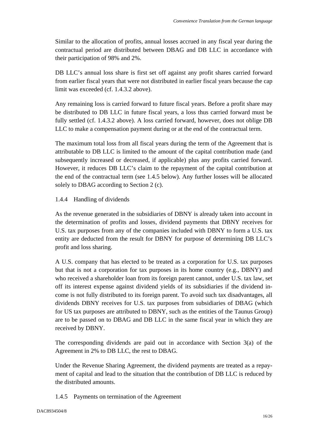Similar to the allocation of profits, annual losses accrued in any fiscal year during the contractual period are distributed between DBAG and DB LLC in accordance with their participation of 98% and 2%.

DB LLC's annual loss share is first set off against any profit shares carried forward from earlier fiscal years that were not distributed in earlier fiscal years because the cap limit was exceeded (cf. 1.4.3.2 above).

Any remaining loss is carried forward to future fiscal years. Before a profit share may be distributed to DB LLC in future fiscal years, a loss thus carried forward must be fully settled (cf. 1.4.3.2 above). A loss carried forward, however, does not oblige DB LLC to make a compensation payment during or at the end of the contractual term.

The maximum total loss from all fiscal years during the term of the Agreement that is attributable to DB LLC is limited to the amount of the capital contribution made (and subsequently increased or decreased, if applicable) plus any profits carried forward. However, it reduces DB LLC's claim to the repayment of the capital contribution at the end of the contractual term (see 1.4.5 below). Any further losses will be allocated solely to DBAG according to Section 2 (c).

## 1.4.4 Handling of dividends

As the revenue generated in the subsidiaries of DBNY is already taken into account in the determination of profits and losses, dividend payments that DBNY receives for U.S. tax purposes from any of the companies included with DBNY to form a U.S. tax entity are deducted from the result for DBNY for purpose of determining DB LLC's profit and loss sharing.

A U.S. company that has elected to be treated as a corporation for U.S. tax purposes but that is not a corporation for tax purposes in its home country (e.g., DBNY) and who received a shareholder loan from its foreign parent cannot, under U.S. tax law, set off its interest expense against dividend yields of its subsidiaries if the dividend income is not fully distributed to its foreign parent. To avoid such tax disadvantages, all dividends DBNY receives for U.S. tax purposes from subsidiaries of DBAG (which for US tax purposes are attributed to DBNY, such as the entities of the Taunus Group) are to be passed on to DBAG and DB LLC in the same fiscal year in which they are received by DBNY.

The corresponding dividends are paid out in accordance with Section 3(a) of the Agreement in 2% to DB LLC, the rest to DBAG.

Under the Revenue Sharing Agreement, the dividend payments are treated as a repayment of capital and lead to the situation that the contribution of DB LLC is reduced by the distributed amounts.

1.4.5 Payments on termination of the Agreement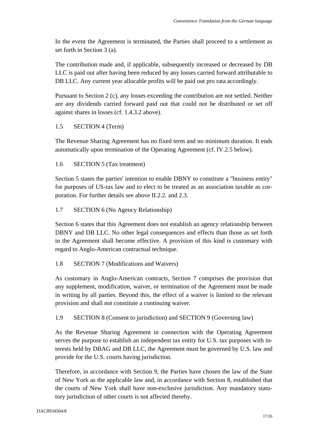In the event the Agreement is terminated, the Parties shall proceed to a settlement as set forth in Section 3 (a).

The contribution made and, if applicable, subsequently increased or decreased by DB LLC is paid out after having been reduced by any losses carried forward attributable to DB LLC. Any current year allocable profits will be paid out pro rata accordingly.

Pursuant to Section 2 (c), any losses exceeding the contribution are not settled. Neither are any dividends carried forward paid out that could not be distributed or set off against shares in losses (cf. 1.4.3.2 above).

## 1.5 SECTION 4 (Term)

The Revenue Sharing Agreement has no fixed term and no minimum duration. It ends automatically upon termination of the Operating Agreement (cf. IV.2.5 below).

## 1.6 SECTION 5 (Tax treatment)

Section 5 states the parties' intention to enable DBNY to constitute a "business entity" for purposes of US-tax law and to elect to be treated as an association taxable as corporation. For further details see above II.2.2. and 2.3.

## 1.7 SECTION 6 (No Agency Relationship)

Section 6 states that this Agreement does not establish an agency relationship between DBNY and DB LLC. No other legal consequences and effects than those as set forth in the Agreement shall become effective. A provision of this kind is customary with regard to Anglo-American contractual technique.

## 1.8 SECTION 7 (Modifications and Waivers)

As customary in Anglo-American contracts, Section 7 comprises the provision that any supplement, modification, waiver, or termination of the Agreement must be made in writing by all parties. Beyond this, the effect of a waiver is limited to the relevant provision and shall not constitute a continuing waiver.

#### 1.9 SECTION 8 (Consent to jurisdiction) and SECTION 9 (Governing law)

As the Revenue Sharing Agreement in connection with the Operating Agreement serves the purpose to establish an independent tax entity for U.S. tax purposes with interests held by DBAG and DB LLC, the Agreement must be governed by U.S. law and provide for the U.S. courts having jurisdiction.

Therefore, in accordance with Section 9, the Parties have chosen the law of the State of New York as the applicable law and, in accordance with Section 8, established that the courts of New York shall have non-exclusive jurisdiction. Any mandatory statutory jurisdiction of other courts is not affected thereby.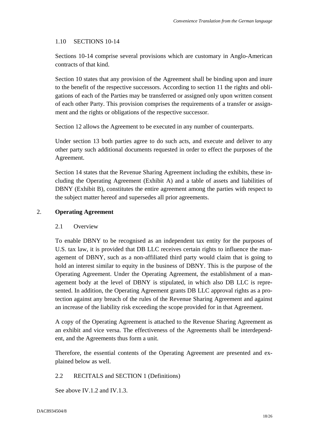## 1.10 SECTIONS 10-14

Sections 10-14 comprise several provisions which are customary in Anglo-American contracts of that kind.

Section 10 states that any provision of the Agreement shall be binding upon and inure to the benefit of the respective successors. According to section 11 the rights and obligations of each of the Parties may be transferred or assigned only upon written consent of each other Party. This provision comprises the requirements of a transfer or assignment and the rights or obligations of the respective successor.

Section 12 allows the Agreement to be executed in any number of counterparts.

Under section 13 both parties agree to do such acts, and execute and deliver to any other party such additional documents requested in order to effect the purposes of the Agreement.

Section 14 states that the Revenue Sharing Agreement including the exhibits, these including the Operating Agreement (Exhibit A) and a table of assets and liabilities of DBNY (Exhibit B), constitutes the entire agreement among the parties with respect to the subject matter hereof and supersedes all prior agreements.

## 2. **Operating Agreement**

#### 2.1 Overview

To enable DBNY to be recognised as an independent tax entity for the purposes of U.S. tax law, it is provided that DB LLC receives certain rights to influence the management of DBNY, such as a non-affiliated third party would claim that is going to hold an interest similar to equity in the business of DBNY. This is the purpose of the Operating Agreement. Under the Operating Agreement, the establishment of a management body at the level of DBNY is stipulated, in which also DB LLC is represented. In addition, the Operating Agreement grants DB LLC approval rights as a protection against any breach of the rules of the Revenue Sharing Agreement and against an increase of the liability risk exceeding the scope provided for in that Agreement.

A copy of the Operating Agreement is attached to the Revenue Sharing Agreement as an exhibit and vice versa. The effectiveness of the Agreements shall be interdependent, and the Agreements thus form a unit.

Therefore, the essential contents of the Operating Agreement are presented and explained below as well.

#### 2.2 RECITALS and SECTION 1 (Definitions)

See above IV.1.2 and IV.1.3.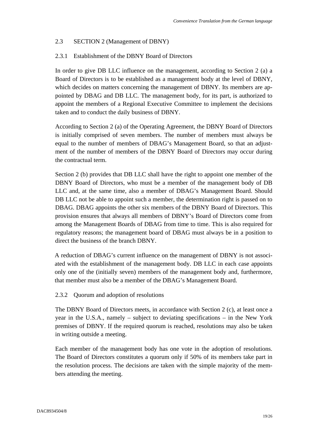## 2.3 SECTION 2 (Management of DBNY)

## 2.3.1 Establishment of the DBNY Board of Directors

In order to give DB LLC influence on the management, according to Section 2 (a) a Board of Directors is to be established as a management body at the level of DBNY, which decides on matters concerning the management of DBNY. Its members are appointed by DBAG and DB LLC. The management body, for its part, is authorized to appoint the members of a Regional Executive Committee to implement the decisions taken and to conduct the daily business of DBNY.

According to Section 2 (a) of the Operating Agreement, the DBNY Board of Directors is initially comprised of seven members. The number of members must always be equal to the number of members of DBAG's Management Board, so that an adjustment of the number of members of the DBNY Board of Directors may occur during the contractual term.

Section 2 (b) provides that DB LLC shall have the right to appoint one member of the DBNY Board of Directors, who must be a member of the management body of DB LLC and, at the same time, also a member of DBAG's Management Board. Should DB LLC not be able to appoint such a member, the determination right is passed on to DBAG. DBAG appoints the other six members of the DBNY Board of Directors. This provision ensures that always all members of DBNY's Board of Directors come from among the Management Boards of DBAG from time to time. This is also required for regulatory reasons; the management board of DBAG must always be in a position to direct the business of the branch DBNY.

A reduction of DBAG's current influence on the management of DBNY is not associated with the establishment of the management body. DB LLC in each case appoints only one of the (initially seven) members of the management body and, furthermore, that member must also be a member of the DBAG's Management Board.

#### 2.3.2 Quorum and adoption of resolutions

The DBNY Board of Directors meets, in accordance with Section 2 (c), at least once a year in the U.S.A., namely – subject to deviating specifications – in the New York premises of DBNY. If the required quorum is reached, resolutions may also be taken in writing outside a meeting.

Each member of the management body has one vote in the adoption of resolutions. The Board of Directors constitutes a quorum only if 50% of its members take part in the resolution process. The decisions are taken with the simple majority of the members attending the meeting.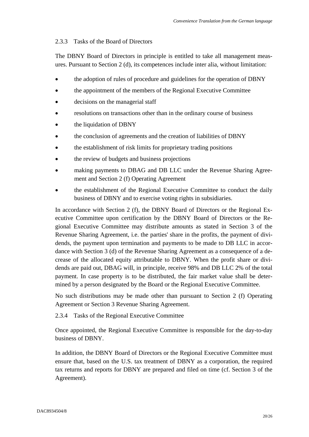## 2.3.3 Tasks of the Board of Directors

The DBNY Board of Directors in principle is entitled to take all management measures. Pursuant to Section 2 (d), its competences include inter alia, without limitation:

- the adoption of rules of procedure and guidelines for the operation of DBNY
- the appointment of the members of the Regional Executive Committee
- decisions on the managerial staff
- resolutions on transactions other than in the ordinary course of business
- the liquidation of DBNY
- the conclusion of agreements and the creation of liabilities of DBNY
- the establishment of risk limits for proprietary trading positions
- the review of budgets and business projections
- making payments to DBAG and DB LLC under the Revenue Sharing Agreement and Section 2 (f) Operating Agreement
- the establishment of the Regional Executive Committee to conduct the daily business of DBNY and to exercise voting rights in subsidiaries.

In accordance with Section 2 (f), the DBNY Board of Directors or the Regional Executive Committee upon certification by the DBNY Board of Directors or the Regional Executive Committee may distribute amounts as stated in Section 3 of the Revenue Sharing Agreement, i.e. the parties' share in the profits, the payment of dividends, the payment upon termination and payments to be made to DB LLC in accordance with Section 3 (d) of the Revenue Sharing Agreement as a consequence of a decrease of the allocated equity attributable to DBNY. When the profit share or dividends are paid out, DBAG will, in principle, receive 98% and DB LLC 2% of the total payment. In case property is to be distributed, the fair market value shall be determined by a person designated by the Board or the Regional Executive Committee.

No such distributions may be made other than pursuant to Section 2 (f) Operating Agreement or Section 3 Revenue Sharing Agreement.

2.3.4 Tasks of the Regional Executive Committee

Once appointed, the Regional Executive Committee is responsible for the day-to-day business of DBNY.

In addition, the DBNY Board of Directors or the Regional Executive Committee must ensure that, based on the U.S. tax treatment of DBNY as a corporation, the required tax returns and reports for DBNY are prepared and filed on time (cf. Section 3 of the Agreement).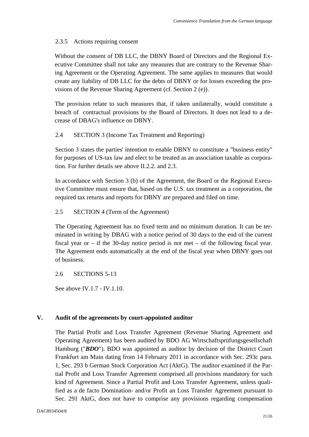## 2.3.5 Actions requiring consent

Without the consent of DB LLC, the DBNY Board of Directors and the Regional Executive Committee shall not take any measures that are contrary to the Revenue Sharing Agreement or the Operating Agreement. The same applies to measures that would create any liability of DB LLC for the debts of DBNY or for losses exceeding the provisions of the Revenue Sharing Agreement (cf. Section 2 (e)).

The provision relate to such measures that, if taken unilaterally, would constitute a breach of contractual provisions by the Board of Directors. It does not lead to a decrease of DBAG's influence on DBNY.

## 2.4 SECTION 3 (Income Tax Treatment and Reporting)

Section 3 states the parties' intention to enable DBNY to constitute a "business entity" for purposes of US-tax law and elect to be treated as an association taxable as corporation. For further details see above II.2.2. and 2.3.

In accordance with Section 3 (b) of the Agreement, the Board or the Regional Executive Committee must ensure that, based on the U.S. tax treatment as a corporation, the required tax returns and reports for DBNY are prepared and filed on time.

## 2.5 SECTION 4 (Term of the Agreement)

The Operating Agreement has no fixed term and no minimum duration. It can be terminated in writing by DBAG with a notice period of 30 days to the end of the current fiscal year or – if the 30-day notice period is not met – of the following fiscal year. The Agreement ends automatically at the end of the fiscal year when DBNY goes out of business.

2.6 SECTIONS 5-13

See above IV.1.7 - IV.1.10.

## **V. Audit of the agreements by court-appointed auditor**

The Partial Profit and Loss Transfer Agreement (Revenue Sharing Agreement and Operating Agreement) has been audited by BDO AG Wirtschaftsprüfungsgesellschaft Hamburg ("**BDO**"). BDO was appointed as auditor by decision of the District Court Frankfurt am Main dating from 14 February 2011 in accordance with Sec. 293c para. 1, Sec. 293 b German Stock Corporation Act (AktG). The auditor examined if the Partial Profit and Loss Transfer Agreement comprised all provisions mandatory for such kind of Agreement. Since a Partial Profit and Loss Transfer Agreement, unless qualified as a de facto Domination- and/or Profit an Loss Transfer Agreement pursuant to Sec. 291 AktG, does not have to comprise any provisions regarding compensation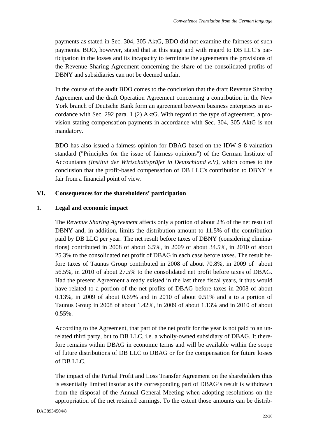payments as stated in Sec. 304, 305 AktG, BDO did not examine the fairness of such payments. BDO, however, stated that at this stage and with regard to DB LLC's participation in the losses and its incapacity to terminate the agreements the provisions of the Revenue Sharing Agreement concerning the share of the consolidated profits of DBNY and subsidiaries can not be deemed unfair.

In the course of the audit BDO comes to the conclusion that the draft Revenue Sharing Agreement and the draft Operation Agreement concerning a contribution in the New York branch of Deutsche Bank form an agreement between business enterprises in accordance with Sec. 292 para. 1 (2) AktG. With regard to the type of agreement, a provision stating compensation payments in accordance with Sec. 304, 305 AktG is not mandatory.

BDO has also issued a fairness opinion for DBAG based on the IDW S 8 valuation standard ("Principles for the issue of fairness opinions") of the German Institute of Accountants *(Institut der Wirtschaftsprüfer in Deutschland e.V)*, which comes to the conclusion that the profit-based compensation of DB LLC's contribution to DBNY is fair from a financial point of view.

## **VI. Consequences for the shareholders' participation**

## 1. **Legal and economic impact**

The *Revenue Sharing Agreement* affects only a portion of about 2% of the net result of DBNY and, in addition, limits the distribution amount to 11.5% of the contribution paid by DB LLC per year. The net result before taxes of DBNY (considering eliminations) contributed in 2008 of about 6.5%, in 2009 of about 34.5%, in 2010 of about 25.3% to the consolidated net profit of DBAG in each case before taxes. The result before taxes of Taunus Group contributed in 2008 of about 70.8%, in 2009 of about 56.5%, in 2010 of about 27.5% to the consolidated net profit before taxes of DBAG. Had the present Agreement already existed in the last three fiscal years, it thus would have related to a portion of the net profits of DBAG before taxes in 2008 of about 0.13%, in 2009 of about 0.69% and in 2010 of about 0.51% and a to a portion of Taunus Group in 2008 of about 1.42%, in 2009 of about 1.13% and in 2010 of about 0.55%.

According to the Agreement, that part of the net profit for the year is not paid to an unrelated third party, but to DB LLC, i.e. a wholly-owned subsidiary of DBAG. It therefore remains within DBAG in economic terms and will be available within the scope of future distributions of DB LLC to DBAG or for the compensation for future losses of DB LLC.

The impact of the Partial Profit and Loss Transfer Agreement on the shareholders thus is essentially limited insofar as the corresponding part of DBAG's result is withdrawn from the disposal of the Annual General Meeting when adopting resolutions on the appropriation of the net retained earnings. To the extent those amounts can be distrib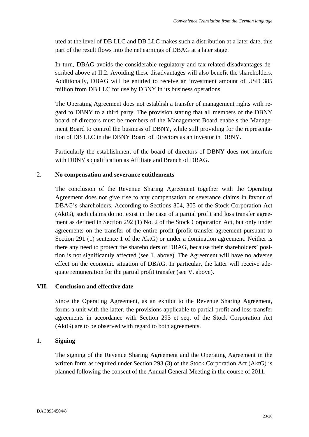uted at the level of DB LLC and DB LLC makes such a distribution at a later date, this part of the result flows into the net earnings of DBAG at a later stage.

In turn, DBAG avoids the considerable regulatory and tax-related disadvantages described above at II.2. Avoiding these disadvantages will also benefit the shareholders. Additionally, DBAG will be entitled to receive an investment amount of USD 385 million from DB LLC for use by DBNY in its business operations.

The Operating Agreement does not establish a transfer of management rights with regard to DBNY to a third party. The provision stating that all members of the DBNY board of directors must be members of the Management Board enabels the Management Board to control the business of DBNY, while still providing for the representation of DB LLC in the DBNY Board of Directors as an investor in DBNY.

Particularly the establishment of the board of directors of DBNY does not interfere with DBNY's qualification as Affiliate and Branch of DBAG.

## 2. **No compensation and severance entitlements**

The conclusion of the Revenue Sharing Agreement together with the Operating Agreement does not give rise to any compensation or severance claims in favour of DBAG's shareholders. According to Sections 304, 305 of the Stock Corporation Act (AktG), such claims do not exist in the case of a partial profit and loss transfer agreement as defined in Section 292 (1) No. 2 of the Stock Corporation Act, but only under agreements on the transfer of the entire profit (profit transfer agreement pursuant to Section 291 (1) sentence 1 of the AktG) or under a domination agreement. Neither is there any need to protect the shareholders of DBAG, because their shareholders' position is not significantly affected (see 1. above). The Agreement will have no adverse effect on the economic situation of DBAG. In particular, the latter will receive adequate remuneration for the partial profit transfer (see V. above).

## **VII. Conclusion and effective date**

Since the Operating Agreement, as an exhibit to the Revenue Sharing Agreement, forms a unit with the latter, the provisions applicable to partial profit and loss transfer agreements in accordance with Section 293 et seq. of the Stock Corporation Act (AktG) are to be observed with regard to both agreements.

## 1. **Signing**

The signing of the Revenue Sharing Agreement and the Operating Agreement in the written form as required under Section 293 (3) of the Stock Corporation Act (AktG) is planned following the consent of the Annual General Meeting in the course of 2011.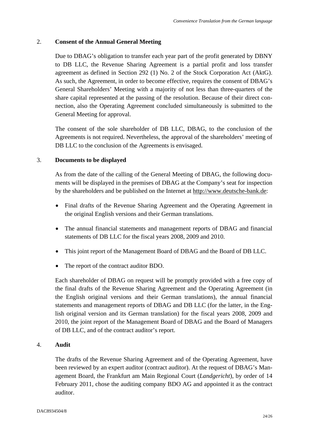## 2. **Consent of the Annual General Meeting**

Due to DBAG's obligation to transfer each year part of the profit generated by DBNY to DB LLC, the Revenue Sharing Agreement is a partial profit and loss transfer agreement as defined in Section 292 (1) No. 2 of the Stock Corporation Act (AktG). As such, the Agreement, in order to become effective, requires the consent of DBAG's General Shareholders' Meeting with a majority of not less than three-quarters of the share capital represented at the passing of the resolution. Because of their direct connection, also the Operating Agreement concluded simultaneously is submitted to the General Meeting for approval.

The consent of the sole shareholder of DB LLC, DBAG, to the conclusion of the Agreements is not required. Nevertheless, the approval of the shareholders' meeting of DB LLC to the conclusion of the Agreements is envisaged.

## 3. **Documents to be displayed**

As from the date of the calling of the General Meeting of DBAG, the following documents will be displayed in the premises of DBAG at the Company's seat for inspection by the shareholders and be published on the Internet at http://www.deutsche-bank.de:

- Final drafts of the Revenue Sharing Agreement and the Operating Agreement in the original English versions and their German translations.
- The annual financial statements and management reports of DBAG and financial statements of DB LLC for the fiscal years 2008, 2009 and 2010.
- This joint report of the Management Board of DBAG and the Board of DB LLC.
- The report of the contract auditor BDO.

Each shareholder of DBAG on request will be promptly provided with a free copy of the final drafts of the Revenue Sharing Agreement and the Operating Agreement (in the English original versions and their German translations), the annual financial statements and management reports of DBAG and DB LLC (for the latter, in the English original version and its German translation) for the fiscal years 2008, 2009 and 2010, the joint report of the Management Board of DBAG and the Board of Managers of DB LLC, and of the contract auditor's report.

#### 4. **Audit**

The drafts of the Revenue Sharing Agreement and of the Operating Agreement, have been reviewed by an expert auditor (contract auditor). At the request of DBAG's Management Board, the Frankfurt am Main Regional Court (*Landgericht*), by order of 14 February 2011, chose the auditing company BDO AG and appointed it as the contract auditor.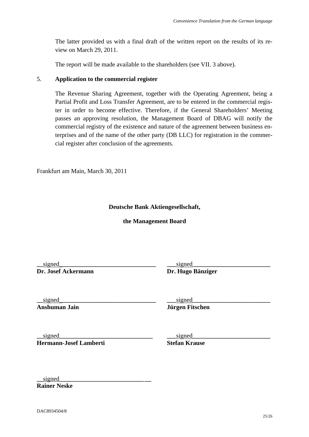The latter provided us with a final draft of the written report on the results of its review on March 29, 2011.

The report will be made available to the shareholders (see VII. 3 above).

## 5. **Application to the commercial register**

The Revenue Sharing Agreement, together with the Operating Agreement, being a Partial Profit and Loss Transfer Agreement, are to be entered in the commercial register in order to become effective. Therefore, if the General Shareholders' Meeting passes an approving resolution, the Management Board of DBAG will notify the commercial registry of the existence and nature of the agreement between business enterprises and of the name of the other party (DB LLC) for registration in the commercial register after conclusion of the agreements.

Frankfurt am Main, March 30, 2011

## **Deutsche Bank Aktiengesellschaft,**

**the Management Board** 

**\_\_**signed\_**\_\_\_\_\_\_\_\_\_\_\_\_\_\_\_\_\_\_\_\_\_\_\_\_\_\_\_\_\_\_ Dr. Josef Ackermann** 

**\_\_\_**signed**\_\_\_\_\_\_\_\_\_\_\_\_\_\_\_\_\_\_\_\_\_\_\_\_\_ Dr. Hugo Bänziger** 

**\_\_**signed\_**\_\_\_\_\_\_\_\_\_\_\_\_\_\_\_\_\_\_\_\_\_\_\_\_\_\_\_\_\_\_ Anshuman Jain** 

**\_\_\_**signed**\_\_\_\_\_\_\_\_\_\_\_\_\_\_\_\_\_\_\_\_\_\_\_\_\_ Jürgen Fitschen** 

**\_\_**signed**\_\_\_\_\_\_\_\_\_\_\_\_\_\_\_\_\_\_\_\_\_\_\_\_\_\_\_\_\_\_ Hermann-Josef Lamberti**  **\_\_\_**signed**\_\_\_\_\_\_\_\_\_\_\_\_\_\_\_\_\_\_\_\_\_\_\_\_\_** 

**Stefan Krause** 

 $\mathbf{signed}$ **Rainer Neske** 

DAC8934504/8